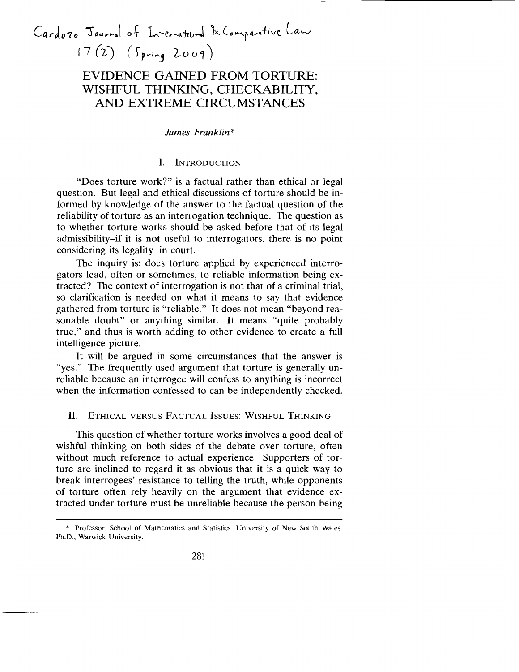# Cardozo Jourral of International & Comparative Law  $17 (2)$  (Spring 2009)

# EVIDENCE GAINED FROM TORTURE: WISHFUL THINKING, CHECKABILITY, AND EXTREME CIRCUMSTANCES

#### *James Franklin* \*

## I. INTRODUCTION

"Does torture work?" is a factual rather than ethical or legal question. But legal and ethical discussions of torture should be informed by knowledge of the answer to the factual question of the reliability of torture as an interrogation technique. The question as to whether torture works should be asked before that of its legal admissibility-if it is not useful to interrogators, there is no point considering its legality in court.

The inquiry is: does torture applied by experienced interrogators lead, often or sometimes, to reliable information being extracted? The context of interrogation is not that of a criminal trial, so clarification is needed on what it means to say that evidence gathered from torture is "reliable." It does not mean "beyond reasonable doubt" or anything similar. It means "quite probably true," and thus is worth adding to other evidence to create a full intelligence picture.

It will be argued in some circumstances that the answer is "yes." The frequently used argument that torture is generally unreliable because an interrogee will confess to anything is incorrect when the information confessed to can be independently checked.

#### II. ETHICAL VERSUS FACTUAL ISSUES: WISHFUL THINKING

This question of whether torture works involves a good deal of wishful thinking on both sides of the debate over torture, often without much reference to actual experience. Supporters of torture are inclined to regard it as obvious that it is a quick way to break interrogees' resistance to telling the truth, while opponents of torture often rely heavily on the argument that evidence extracted under torture must be unreliable because the person being

<sup>\*</sup> Professor. School of Mathematics and Statistics, University of New South Wales. Ph.D., Warwick University.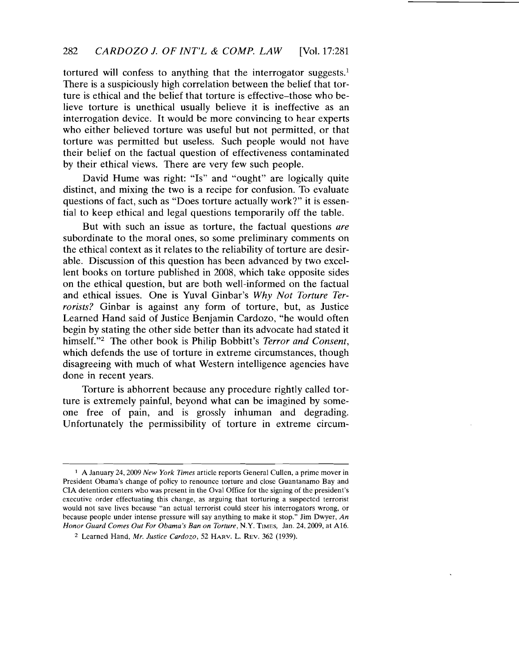tortured will confess to anything that the interrogator suggests.<sup>1</sup> There is a suspiciously high correlation between the belief that torture is ethical and the belief that torture is effective-those who believe torture is unethical usually believe it is ineffective as an interrogation device. It would be more convincing to hear experts who either believed torture was useful but not permitted, or that torture was permitted but useless. Such people would not have their belief on the factual question of effectiveness contaminated by their ethical views. There are very few such people.

David Hume was right: "Is" and "ought" are logically quite distinct, and mixing the two is a recipe for confusion. To evaluate questions of fact, such as "Does torture actually work?" it is essential to keep ethical and legal questions temporarily off the table.

But with such an issue as torture, the factual questions *are*  subordinate to the moral ones, so some preliminary comments on the ethical context as it relates to the reliability of torture are desirable. Discussion of this question has been advanced by two excellent books on torture published in 2008, which take opposite sides on the ethical question, but are both well-informed on the factual and ethical issues. One is Yuval Ginbar's *Why Not Torture Terrorists?* Ginbar is against any form of torture, but, as Justice Learned Hand said of Justice Benjamin Cardozo, "he would often begin by stating the other side better than its advocate had stated it himself."2 The other book is Philip Bobbitt's *Terror and Consent,*  which defends the use of torture in extreme circumstances, though disagreeing with much of what Western intelligence agencies have done in recent years.

Torture is abhorrent because any procedure rightly called torture is extremely painful, beyond what can be imagined by someone free of pain, and is grossly inhuman and degrading. Unfortunately the permissibility of torture in extreme circum-

<sup>1</sup> A January 24, 2009 *New York Times* article reports General Cullen, a prime mover in President Obama's change of policy to renounce torture and close Guantanamo Bay and CIA detention centers who was present in the Oval Office for the signing of the president's executive order effectuating this change, as arguing that torturing a suspected terrorist would not save lives because "an actual terrorist could steer his interrogators wrong, or because people under intense pressure will say anything to make it stop." Jim Dwyer, *An Honor Guard Comes Out For Obama's Ban on Torture,* N.Y. TIMES, Jan. 24.2009, at A16.

<sup>2</sup> Learned Hand, *Mr. Justice Cardozo,* 52 HARv. L. REV. 362 (1939).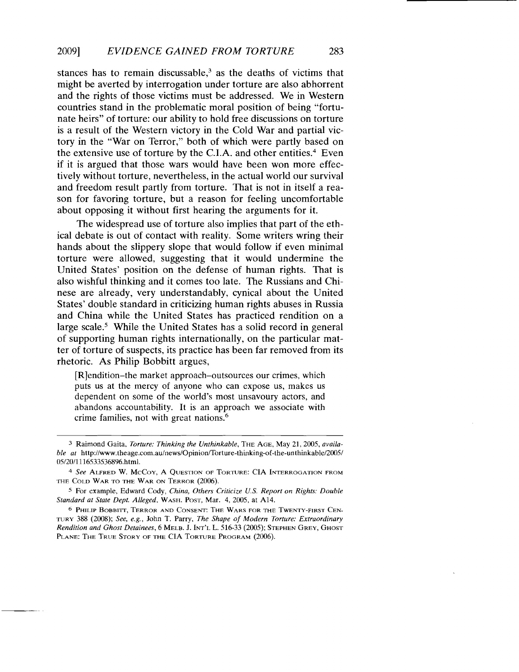stances has to remain discussable, $3$  as the deaths of victims that might be averted by interrogation under torture are also abhorrent and the rights of those victims must be addressed. We in Western countries stand in the problematic moral position of being "fortunate heirs" of torture: our ability to hold free discussions on torture is a result of the Western victory in the Cold War and partial victory in the "War on Terror," both of which were partly based on the extensive use of torture by the C.I.A. and other entities.<sup>4</sup> Even if it is argued that those wars would have been won more effectively without torture, nevertheless, in the actual world our survival and freedom result partly from torture. That is not in itself a reason for favoring torture, but a reason for feeling uncomfortable about opposing it without first hearing the arguments for it.

The widespread use of torture also implies that part of the ethical debate is out of contact with reality. Some writers wring their hands about the slippery slope that would follow if even minimal torture were allowed, suggesting that it would undermine the United States' position on the defense of human rights. That is also wishful thinking and it comes too late. The Russians and Chinese are already, very understandably, cynical about the United States' double standard in criticizing human rights abuses in Russia and China while the United States has practiced rendition on a large scale.<sup>5</sup> While the United States has a solid record in general of supporting human rights internationally, on the particular matter of torture of suspects, its practice has been far removed from its rhetoric. As Philip Bobbitt argues,

[R]endition-the market approach-outsources our crimes, which puts us at the mercy of anyone who can expose us, makes us dependent on some of the world's most unsavoury actors, and abandons accountability. It is an approach we associate with crime families, not with great nations.6

<sup>3</sup> Raimond Gaita. *Torture: Thinking the Unthinkable,* THE AGE, May 21, 2005, *available at* http://www.theage.com.au/news/Opinion/Torture-thinking-of-the-unthinkable/2oo5/ OS/20/1116533536896.htm!.

<sup>4</sup>*See* ALFRED W. McCoy, A QUESTION OF TORTURE: CIA INTERROGATION FROM THE COLD WAR TO THE WAR ON TERROR (2006).

*<sup>S</sup>*For example, Edward Cody, *China, Others Criticize u.s. Report on Rights: Double Standard at State Dept. Alleged.* WASH. POST, Mar. 4, 2005, at A14.

<sup>6</sup> PHILIP BOBBITT, TERROR AND CONSENT: THE WARS FOR THE TWENTY-FIRST CEN. TURY 388 (2008); *See, e.g.,* John T. Parry, *The Shape of Modern Torture: Extraordinary Rendition and Ghost Detainees,* 6 MELB. J. INT'L L. 516-33 (2005); STEPHEN GREY, GHOST PLANE: THE TRUE STORY OF THE CIA TORTURE PROGRAM (2006).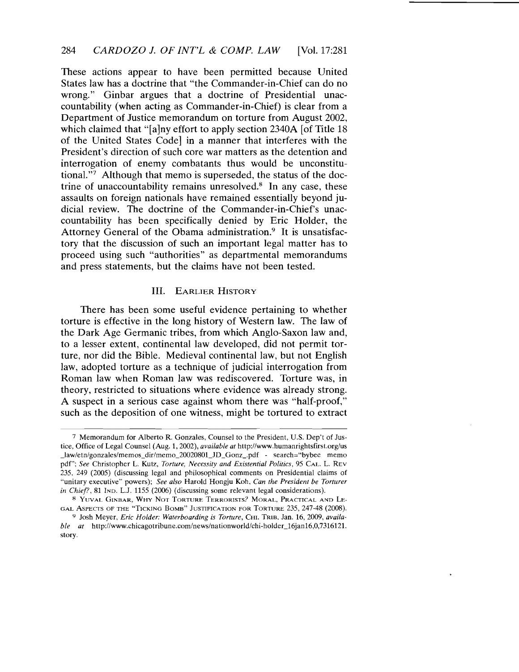These actions appear to have been permitted because United States law has a doctrine that "the Commander-in-Chief can do no wrong." Ginbar argues that a doctrine of Presidential unaccountability (when acting as Commander-in-Chief) is clear from a Department of Justice memorandum on torture from August 2002, which claimed that "[a]ny effort to apply section 2340A [of Title 18] of the United States Code] in a manner that interferes with the President's direction of such core war matters as the detention and interrogation of enemy combatants thus would be unconstitutional."7 Although that memo is superseded, the status of the doctrine of unaccountability remains unresolved.8 **In** any case, these assaults on foreign nationals have remained essentially beyond judicial review. The doctrine of the Commander-in-Chief's unaccountability has been specifically denied by Eric Holder, the Attorney General of the Obama administration.<sup>9</sup> It is unsatisfactory that the discussion of such an important legal matter has to proceed using such "authorities" as departmental memorandums and press statements, but the claims have not been tested.

#### **III.** EARLIER HISTORY

There has been some useful evidence pertaining to whether torture is effective in the long history of Western law. The law of the Dark Age Germanic tribes, from which Anglo-Saxon law and, to a lesser extent, continental law developed, did not permit torture, nor did the Bible. Medieval continental law, but not English law, adopted torture as a technique of judicial interrogation from Roman law when Roman law was rediscovered. Torture was, in theory, restricted to situations where evidence was already strong. A suspect in a serious case against whom there was "half-proof," such as the deposition of one witness, might be tortured to extract

<sup>7</sup> Memorandum for Alberto R. Gonzales, Counsel to the President, U.S. Dep't of Justice, Office of Legal Counsel (Aug. 1,2002), *available at* http://www.humanrightsfirst.org/us \_law/etn/gonzales/memos\_dir/memo\_2002080LJD\_Gonz\_.pdf - search="bybee memo pdf"; *See* Christopher L. Kutz, *Torture, Necessity and Existential Politics,* 95 CAL. L. REV 235, 249 (2005) (discussing legal and philosophical comments on Presidential claims of "unitary executive" powers); *See also* Harold Hongju Koh, *Can the President be Torturer in Chief?*, 81 IND. L.J. 1155 (2006) (discussing some relevant legal considerations).

<sup>8</sup> YUVAL GINBAR, WHY NOT TORTURE TERRORISTS? MORAL, PRACTICAL AND LE-GAL ASPECTS OF THE "TICKING BOMB" JUSTIFICATION FOR TORTURE 235, 247-48 (2008).

<sup>9</sup> Josh Meyer, *Eric Holder: Waterboarding is Torture,* CHI. TRIB, Jan. 16, 2009, *available at http://www.chicagotribune.com/news/nationworld/chi-holder\_16jan16,0,7316121.* story.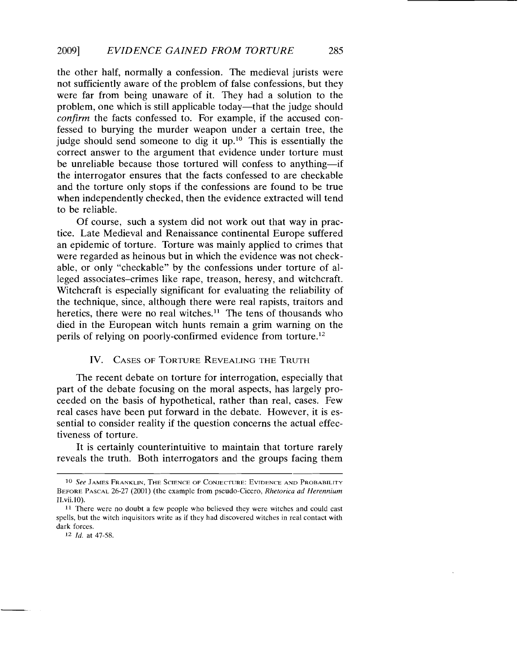the other half, normally a confession. The medieval jurists were not sufficiently aware of the problem of false confessions, but they were far from being unaware of it. They had a solution to the problem, one which is still applicable today—that the judge should *confirm* the facts confessed to. For example, if the accused confessed to burying the murder weapon under a certain tree, the judge should send someone to dig it up.<sup>10</sup> This is essentially the correct answer to the argument that evidence under torture must be unreliable because those tortured will confess to anything-if the interrogator ensures that the facts confessed to are checkable and the torture only stops if the confessions are found to be true when independently checked, then the evidence extracted will tend to be reliable.

Of course, such a system did not work out that way in practice. Late Medieval and Renaissance continental Europe suffered an epidemic of torture. Torture was mainly applied to crimes that were regarded as heinous but in which the evidence was not checkable, or only "checkable" by the confessions under torture of alleged associates-crimes like rape, treason, heresy, and witchcraft. Witchcraft is especially significant for evaluating the reliability of the technique, since, although there were real rapists, traitors and heretics, there were no real witches.<sup>11</sup> The tens of thousands who died in the European witch hunts remain a grim warning on the perils of relying on poorly-confirmed evidence from torture.<sup>12</sup>

### IV. CASES OF TORTURE REVEALING THE TRUTH

The recent debate on torture for interrogation, especially that part of the debate focusing on the moral aspects, has largely proceeded on the basis of hypothetical, rather than real, cases. Few real cases have been put forward in the debate. However, it is essential to consider reality if the question concerns the actual effectiveness of torture.

It is certainly counterintuitive to maintain that torture rarely reveals the truth. Both interrogators and the groups facing them

*12 Id.* at 47-58.

<sup>10</sup> *See* JAMES FRANKLIN, THE SCIENCE OF CONJECTURE: EVIDENCE AND PROBABILITY BEFORE PASCAL 26-27 (2001) (the example from pseudo-Cicero, *Rhetorica ad Herennium*  II.vii.lO).

<sup>11</sup> There were no doubt a few people who believed they were witches and could cast spells, but the witch inquisitors write as if they had discovered witches in real contact with dark forces.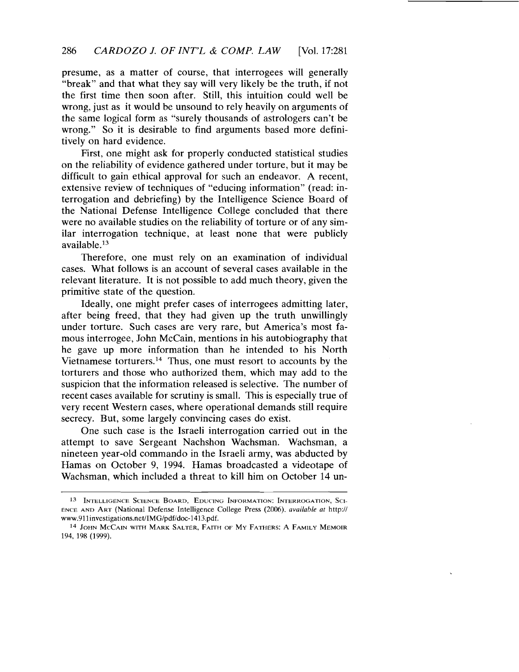presume, as a matter of course, that interrogees will generally "break" and that what they say will very likely be the truth, if not the first time then soon after. Still, this intuition could well be wrong, just as it would be unsound to rely heavily on arguments of the same logical form as "surely thousands of astrologers can't be wrong." So it is desirable to find arguments based more definitively on hard evidence.

First, one might ask for properly conducted statistical studies on the reliability of evidence gathered under torture, but it may be difficult to gain ethical approval for such an endeavor. A recent, extensive review of techniques of "educing information" (read: interrogation and debriefing) by the Intelligence Science Board of the Nationai Defense Intelligence College concluded that there were no available studies on the reliability of torture or of any similar interrogation technique, at least none that were publicly available.13

Therefore, one must rely on an examination of individual cases. What follows is an account of several cases available in the relevant literature. It is not possible to add much theory, given the primitive state of the question.

Ideally, one might prefer cases of interrogees admitting later, after being freed, that they had given up the truth unwillingly under torture. Such cases are very rare, but America's most famous interrogee, John McCain, mentions in his autobiography that he gave up more information than he intended to his North Vietnamese torturers. 14 Thus, one must resort to accounts by the torturers and those who authorized them, which may add to the suspicion that the information released is selective. The number of recent cases available for scrutiny is small. This is especially true of very recent Western cases, where operational demands still require secrecy. But, some largely convincing cases do exist.

One such case is the Israeli interrogation carried out in the attempt to save Sergeant Nachshon Wachsman. Wachsman, a nineteen year-old commando in the Israeli army, was abducted by Hamas on October 9, 1994. Hamas broadcasted a videotape of Wachsman, which included a threat to kill him on October 14 un-

<sup>13</sup> INTELLIGENCE SCIENCE BOARD, EDUCING INFORMATION: INTERROGATION, SCI-ENCE AND ART (National Defense Intelligence College Press (2006). *available at* http:// www.911investigations.net/IMG/pdf/doc-1413.pdf.

<sup>14</sup> JOHN MCCAIN WITH MARK SALTER, FAITH OF My FATHERS: A FAMILY MEMOIR 194, 198 (1999).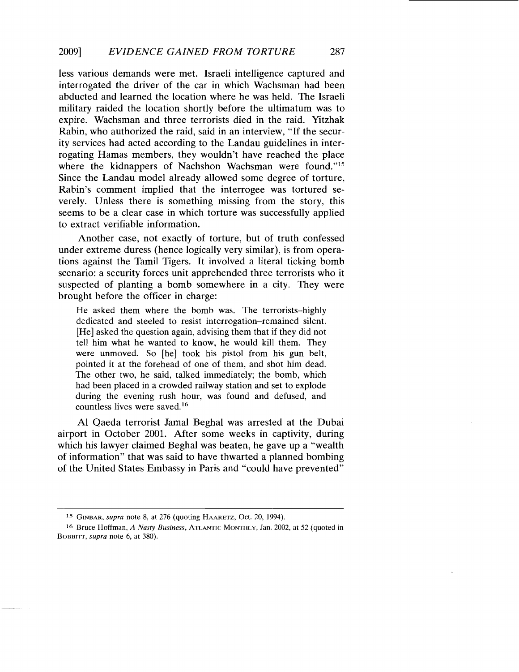less various demands were met. Israeli intelligence captured and interrogated the driver of the car in which Wachsman had been abducted and learned the location where he was held. The Israeli military raided the location shortly before the ultimatum was to expire. Wachsman and three terrorists died in the raid. Yitzhak Rabin, who authorized the raid, said in an interview, "If the security services had acted according to the Landau guidelines in interrogating Hamas members, they wouldn't have reached the place where the kidnappers of Nachshon Wachsman were found."<sup>15</sup> Since the Landau model already allowed some degree of torture, Rabin's comment implied that the interrogee was tortured severely. Unless there is something missing from the story, this seems to be a clear case in which torture was successfully applied to extract verifiable information.

Another case, not exactly of torture, but of truth confessed under extreme duress (hence logically very similar), is from operations against the Tamil Tigers. It involved a literal ticking bomb scenario: a security forces unit apprehended three terrorists who it suspected of planting a bomb somewhere in a city. They were brought before the officer in charge:

He asked them where the bomb was. The terrorists-highly dedicated and steeled to resist interrogation-remained silent. [He] asked the question again, advising them that if they did not tell him what he wanted to know, he would kill them. They were unmoved. So [he] took his pistol from his gun belt, pointed it at the forehead of one of them, and shot him dead. The other two, he said, talked immediately; the bomb, which had been placed in a crowded railway station and set to explode during the evening rush hour, was found and defused, and countless lives were saved.<sup>16</sup>

Al Qaeda terrorist Jamal Beghal was arrested at the Dubai airport in October 2001. After some weeks in captivity, during which his lawyer claimed Beghal was beaten, he gave up a "wealth of information" that was said to have thwarted a planned bombing of the United States Embassy in Paris and "could have prevented"

<sup>15</sup> GINBAR. *supra* note 8. at 276 (quoting HAARETZ. Oct. 20. 1994).

<sup>16</sup> Bruce Hoffman. *A Nasty Business,* ATLANTIC MONTHLY, Jan. 2002. at 52 (quoted in BOBBITT, *supra* note 6, at 380).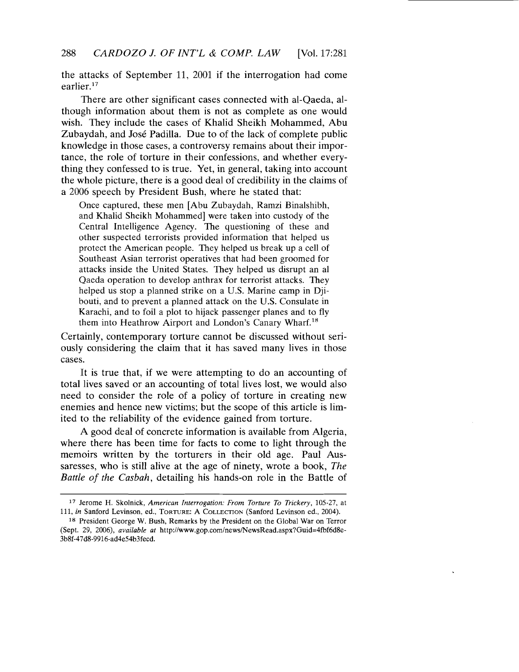the attacks of September 11, 2001 if the interrogation had come earlier. $17$ 

There are other significant cases connected with al-Qaeda, although information about them is not as complete as one would wish. They include the cases of Khalid Sheikh Mohammed, Abu Zubaydah, and Jose Padilla. Due to of the lack of complete public knowledge in those cases, a controversy remains about their importance, the role of torture in their confessions, and whether everything they confessed to is true. Yet, in general, taking into account the whole picture, there is a good deal of credibility in the claims of a 2006 speech by President Bush, where he stated that:

Once captured, these men [Abu Zubaydah, Ramzi Binalshibh, and Khalid Sheikh Mohammed] were taken into custody of the Central Intelligence Agency. The questioning of these and other suspected terrorists provided information that helped us protect the American people. They helped us break up a cell of Southeast Asian terrorist operatives that had been groomed for attacks inside the United States. They helped us disrupt an al Qaeda operation to develop anthrax for terrorist attacks. They helped us stop a planned strike on a U.S. Marine camp in Djibouti, and to prevent a planned attack on the U.S. Consulate in Karachi, and to foil a plot to hijack passenger planes and to fly them into Heathrow Airport and London's Canary Wharf. <sup>18</sup>

Certainly, contemporary torture cannot be discussed without seriously considering the claim that it has saved many lives in those cases.

It is true that, if we were attempting to do an accounting of total lives saved or an accounting of total lives lost, we would also need to consider the role of a policy of torture in creating new enemies and hence new victims; but the scope of this article is limited to the reliability of the evidence gained from torture.

A good deal of concrete information is available from Algeria, where there has been time for facts to come to light through the memoirs written by the torturers in their old age. Paul Aussaresses, who is still alive at the age of ninety, wrote a book, *The Battle of the Casbah,* detailing his hands-on role in the Battle of

<sup>17</sup> Jerome H. Skolnick, *American Interrogation: From Torture To Trickery,* 105-27, at *111, in* Sanford Levinson, ed., TORTURE: A COLLECTION (Sanford Levinson ed., 2004).

<sup>18</sup> President George W. Bush, Remarks by the President on the Global War on Terror (Sept. 29, 2006), *available at* http://www.gop.com/news/NewsRead.aspx?Guid=4fbf6d8e-3b8f-47d8-9916-ad4e54b3fecd.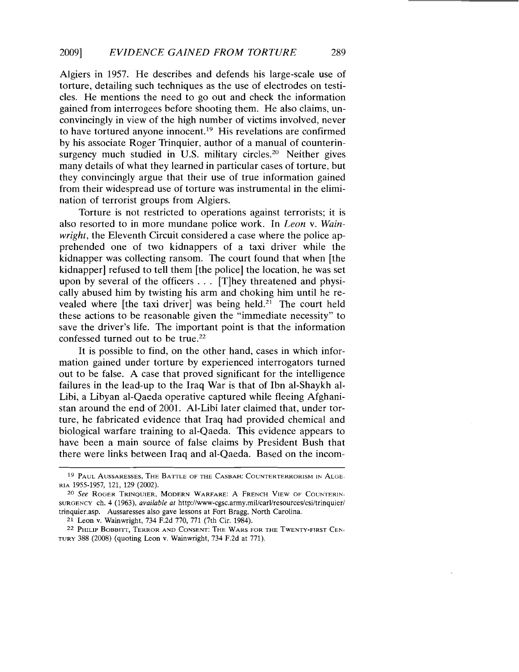Algiers in 1957. He describes and defends his large-scale use of torture, detailing such techniques as the use of electrodes on testicles. He mentions the need to go out and check the information gained from interrogees before shooting them. He also claims, unconvincingly in view of the high number of victims involved, never to have tortured anyone innocent.19 His revelations are confirmed by his associate Roger Trinquier, author of a manual of counterinsurgency much studied in U.S. military circles.<sup>20</sup> Neither gives many details of what they learned in particular cases of torture, but they convincingly argue that their use of true information gained from their widespread use of torture was instrumental in the elimination of terrorist groups from Algiers.

Torture is not restricted to operations against terrorists; it is also resorted to in more mundane police work. In *Leon* v. *Wainwright,* the Eleventh Circuit considered a case where the police apprehended one of two kidnappers of a taxi driver while the kidnapper was collecting ransom. The court found that when [the kidnapper] refused to tell them [the police] the location, he was set upon by several of the officers. .. [T]hey threatened and physically abused him by twisting his arm and choking him until he revealed where [the taxi driver] was being held.<sup>21</sup> The court held these actions to be reasonable given the "immediate necessity" to save the driver's life. The important point is that the information confessed turned out to be true. <sup>22</sup>

It is possible to find, on the other hand, cases in which information gained under torture by experienced interrogators turned out to be false. A case that proved significant for the intelligence failures in the lead-up to the Iraq War is that of Ibn al-Shaykh al-Libi, a Libyan al-Qaeda operative captured while fleeing Afghanistan around the end of 2001. Al-Libi later claimed that, under torture, he fabricated evidence that Iraq had provided chemical and biological warfare training to al-Qaeda. This evidence appears to have been a main source of false claims by President Bush that there were links between Iraq and al-Qaeda. Based on the incom-

<sup>19</sup> PAUL AUSSARESSES, THE BATTLE OF THE CASBAH: COUNTERTERRORISM IN ALGE-RIA 1955-1957, 121, 129 (2002).

*<sup>20</sup> See* ROGER TRINQUIER, MODERN WARFARE: A FRENCH VIEW OF COUNTERIN-SURGENCY ch. 4 (1963), *available at* http://www-cgsc.army.mil/carl/resources/csi/trinquier/ trinquier.asp. Aussaresses also gave lessons at Fort Bragg, North Carolina.

<sup>21</sup> Leon v. Wainwright, 734 F.2d 770, 771 (7th Cir. 1984).

<sup>22</sup> PHILIP BOBBITT, TERROR AND CONSENT: THE WARS FOR THE TWENTY-FIRST CEN. TURY 388 (2008) (quoting Leon v. Wainwright, 734 F.2d at 771).